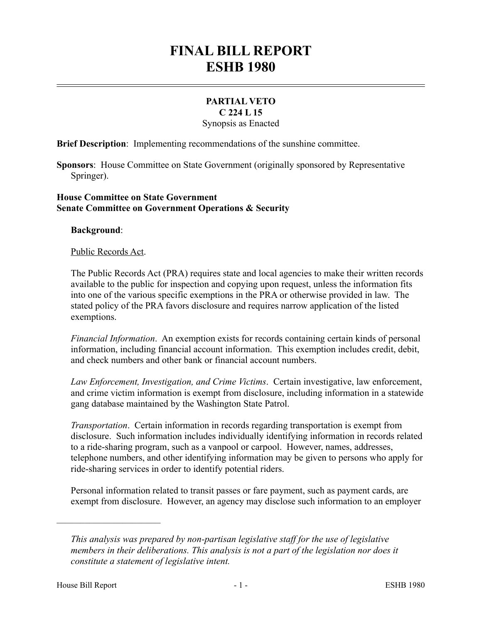# **FINAL BILL REPORT ESHB 1980**

#### **PARTIAL VETO C 224 L 15**

Synopsis as Enacted

**Brief Description**: Implementing recommendations of the sunshine committee.

**Sponsors**: House Committee on State Government (originally sponsored by Representative Springer).

### **House Committee on State Government Senate Committee on Government Operations & Security**

### **Background**:

### Public Records Act.

The Public Records Act (PRA) requires state and local agencies to make their written records available to the public for inspection and copying upon request, unless the information fits into one of the various specific exemptions in the PRA or otherwise provided in law. The stated policy of the PRA favors disclosure and requires narrow application of the listed exemptions.

*Financial Information*. An exemption exists for records containing certain kinds of personal information, including financial account information. This exemption includes credit, debit, and check numbers and other bank or financial account numbers.

*Law Enforcement, Investigation, and Crime Victims*. Certain investigative, law enforcement, and crime victim information is exempt from disclosure, including information in a statewide gang database maintained by the Washington State Patrol.

*Transportation*. Certain information in records regarding transportation is exempt from disclosure. Such information includes individually identifying information in records related to a ride-sharing program, such as a vanpool or carpool. However, names, addresses, telephone numbers, and other identifying information may be given to persons who apply for ride-sharing services in order to identify potential riders.

Personal information related to transit passes or fare payment, such as payment cards, are exempt from disclosure. However, an agency may disclose such information to an employer

––––––––––––––––––––––

*This analysis was prepared by non-partisan legislative staff for the use of legislative members in their deliberations. This analysis is not a part of the legislation nor does it constitute a statement of legislative intent.*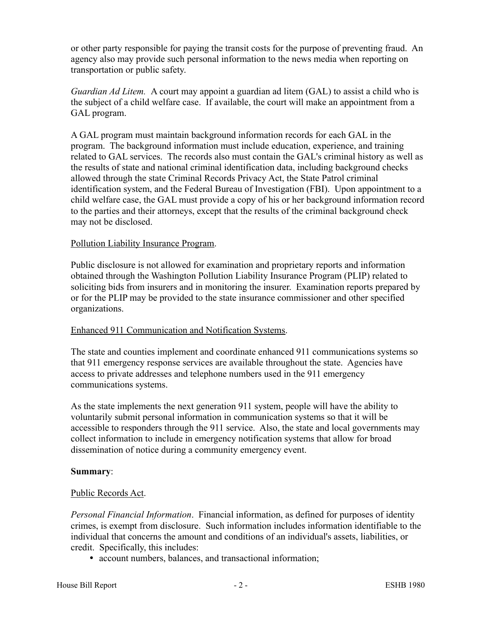or other party responsible for paying the transit costs for the purpose of preventing fraud. An agency also may provide such personal information to the news media when reporting on transportation or public safety.

*Guardian Ad Litem.* A court may appoint a guardian ad litem (GAL) to assist a child who is the subject of a child welfare case. If available, the court will make an appointment from a GAL program.

A GAL program must maintain background information records for each GAL in the program. The background information must include education, experience, and training related to GAL services. The records also must contain the GAL's criminal history as well as the results of state and national criminal identification data, including background checks allowed through the state Criminal Records Privacy Act, the State Patrol criminal identification system, and the Federal Bureau of Investigation (FBI). Upon appointment to a child welfare case, the GAL must provide a copy of his or her background information record to the parties and their attorneys, except that the results of the criminal background check may not be disclosed.

## Pollution Liability Insurance Program.

Public disclosure is not allowed for examination and proprietary reports and information obtained through the Washington Pollution Liability Insurance Program (PLIP) related to soliciting bids from insurers and in monitoring the insurer. Examination reports prepared by or for the PLIP may be provided to the state insurance commissioner and other specified organizations.

### Enhanced 911 Communication and Notification Systems.

The state and counties implement and coordinate enhanced 911 communications systems so that 911 emergency response services are available throughout the state. Agencies have access to private addresses and telephone numbers used in the 911 emergency communications systems.

As the state implements the next generation 911 system, people will have the ability to voluntarily submit personal information in communication systems so that it will be accessible to responders through the 911 service. Also, the state and local governments may collect information to include in emergency notification systems that allow for broad dissemination of notice during a community emergency event.

### **Summary**:

## Public Records Act.

*Personal Financial Information*. Financial information, as defined for purposes of identity crimes, is exempt from disclosure. Such information includes information identifiable to the individual that concerns the amount and conditions of an individual's assets, liabilities, or credit. Specifically, this includes:

account numbers, balances, and transactional information;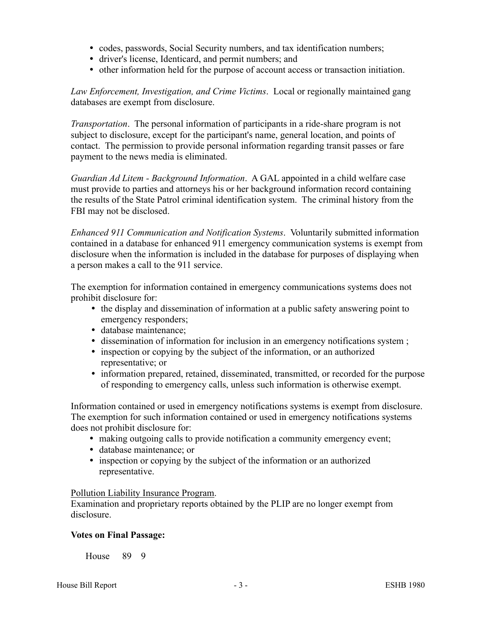- codes, passwords, Social Security numbers, and tax identification numbers;
- driver's license, Identicard, and permit numbers; and
- other information held for the purpose of account access or transaction initiation.

*Law Enforcement, Investigation, and Crime Victims*. Local or regionally maintained gang databases are exempt from disclosure.

*Transportation*. The personal information of participants in a ride-share program is not subject to disclosure, except for the participant's name, general location, and points of contact. The permission to provide personal information regarding transit passes or fare payment to the news media is eliminated.

*Guardian Ad Litem - Background Information*. A GAL appointed in a child welfare case must provide to parties and attorneys his or her background information record containing the results of the State Patrol criminal identification system. The criminal history from the FBI may not be disclosed.

*Enhanced 911 Communication and Notification Systems*. Voluntarily submitted information contained in a database for enhanced 911 emergency communication systems is exempt from disclosure when the information is included in the database for purposes of displaying when a person makes a call to the 911 service.

The exemption for information contained in emergency communications systems does not prohibit disclosure for:

- the display and dissemination of information at a public safety answering point to emergency responders;
- database maintenance;
- dissemination of information for inclusion in an emergency notifications system ;
- inspection or copying by the subject of the information, or an authorized representative; or
- information prepared, retained, disseminated, transmitted, or recorded for the purpose of responding to emergency calls, unless such information is otherwise exempt.

Information contained or used in emergency notifications systems is exempt from disclosure. The exemption for such information contained or used in emergency notifications systems does not prohibit disclosure for:

- making outgoing calls to provide notification a community emergency event;
- database maintenance; or
- inspection or copying by the subject of the information or an authorized representative.

## Pollution Liability Insurance Program.

Examination and proprietary reports obtained by the PLIP are no longer exempt from disclosure.

## **Votes on Final Passage:**

House 89 9